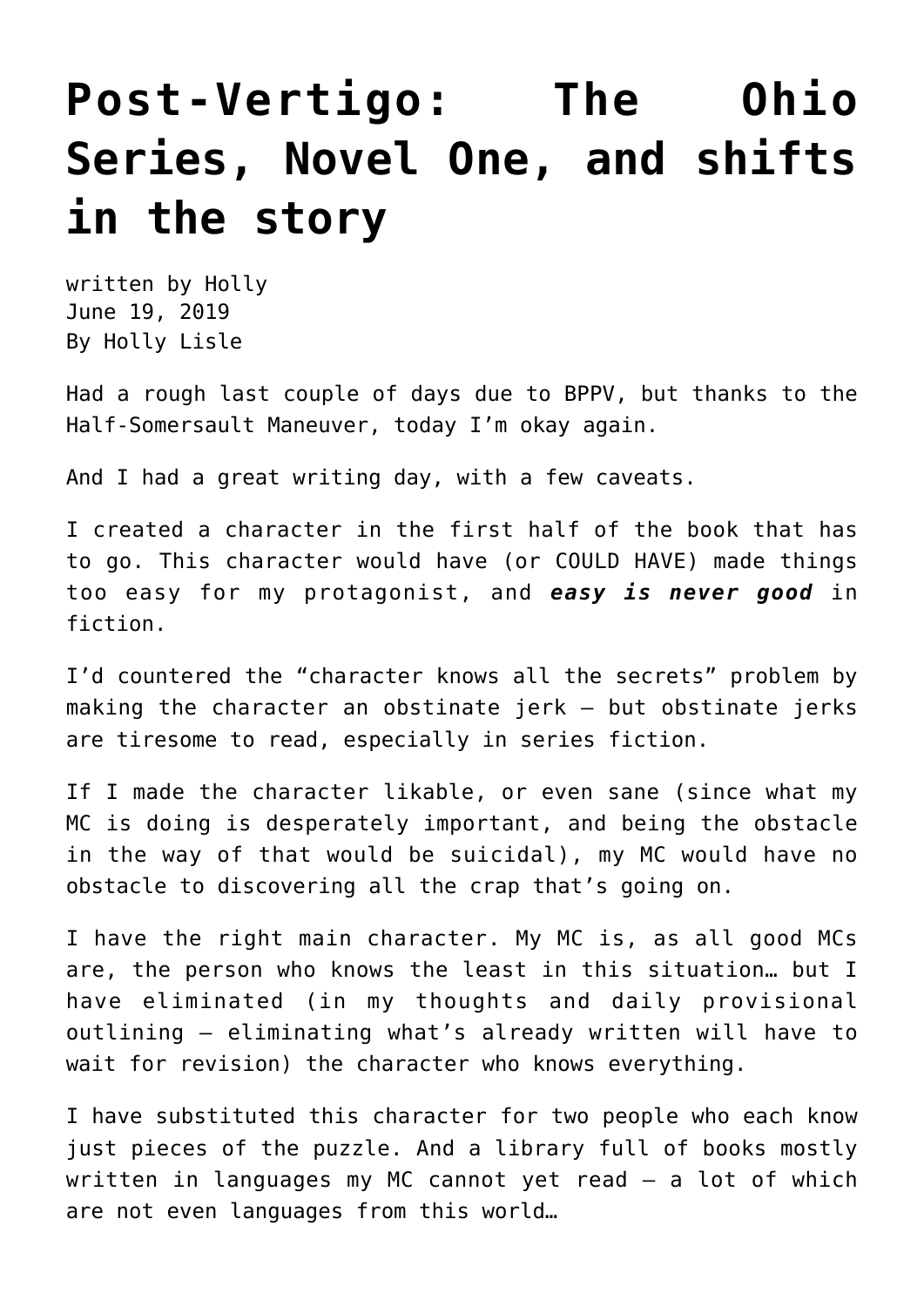## **[Post-Vertigo: The Ohio](https://hollylisle.com/post-vertigo-the-ohio-series-novel-one-and-shifts-in-the-story/) [Series, Novel One, and shifts](https://hollylisle.com/post-vertigo-the-ohio-series-novel-one-and-shifts-in-the-story/) [in the story](https://hollylisle.com/post-vertigo-the-ohio-series-novel-one-and-shifts-in-the-story/)**

written by Holly June 19, 2019 [By Holly Lisle](https://hollylisle.com)

Had a rough last couple of days [due to BPPV](https://hollylisle.com/fixing-vertigo-a-new-solution-for-bppv/), but thanks to the Half-Somersault Maneuver, today I'm okay again.

And I had a great writing day, with a few caveats.

I created a character in the first half of the book that has to go. This character would have (or COULD HAVE) made things too easy for my protagonist, and *easy is never good* in fiction.

I'd countered the "character knows all the secrets" problem by making the character an obstinate jerk — but obstinate jerks are tiresome to read, especially in series fiction.

If I made the character likable, or even sane (since what my MC is doing is desperately important, and being the obstacle in the way of that would be suicidal), my MC would have no obstacle to discovering all the crap that's going on.

I have the right main character. My MC is, as all good MCs are, the person who knows the least in this situation… but I have eliminated (in my thoughts and daily provisional outlining — eliminating what's already written will have to wait for revision) the character who knows everything.

I have substituted this character for two people who each know just pieces of the puzzle. And a library full of books mostly written in languages my MC cannot yet read — a lot of which are not even languages from this world…